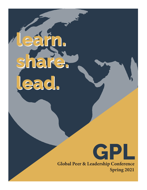learn. share. lead. lead.leárn. share.



**Global Peer & Leadership Conference Spring 2021**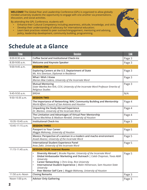**WELCOME!** The Global Peer and Leadership Conference (GPL) is organized to allow globally minded university students the opportunity to engage with one another via presentations, discussion, and social activities.

By attending the GPL Conference, students will:

- Enhance their Cultural Competency including awareness, attitude, knowledge, and skills;
- Develop their understanding of advocacy for international education;
- Learn best practices related to peer outreach/engagement, mentoring and advising, policy, leadership development, community building, programming.

# **Schedule at a Glance**

| <b>Time</b>      | <b>Session</b>                                                                                                                                                                                                                                                                                                                                                                                                                        | <b>Link</b> |
|------------------|---------------------------------------------------------------------------------------------------------------------------------------------------------------------------------------------------------------------------------------------------------------------------------------------------------------------------------------------------------------------------------------------------------------------------------------|-------------|
| 8:00-8:30 a.m.   | <b>Coffee Social and Institutional Check-ins</b>                                                                                                                                                                                                                                                                                                                                                                                      | Page 3      |
| 8:30-9:00 a.m.   | <b>Welcome and Keynote Speaker</b>                                                                                                                                                                                                                                                                                                                                                                                                    | Page 3      |
| 9:00-9:45 a.m.   | <b>SESSION ONE</b>                                                                                                                                                                                                                                                                                                                                                                                                                    |             |
|                  | Exploring Careers at the U.S. Deptartment of State<br>Ms. Kris Sivertson, Diplomat in Residence                                                                                                                                                                                                                                                                                                                                       | Page 3      |
|                  | <b>What I Wish I Knew</b><br>Marian Mae Cedeno, University of the Incarnate Word                                                                                                                                                                                                                                                                                                                                                      | Page 3      |
|                  | <b>Mutual Mentoring</b><br>Sister Martha Ann Kirk, CCVI, University of the Incarnate Word Professor Emerita of<br>Religious Studies                                                                                                                                                                                                                                                                                                   | Page 3      |
| 9:45-9:50 a.m.   | <b>BREAK</b>                                                                                                                                                                                                                                                                                                                                                                                                                          | N/A         |
| 9:50-10:35 a.m.  | <b>SESSION TWO</b>                                                                                                                                                                                                                                                                                                                                                                                                                    |             |
|                  | The Importance of Networking: WAC Community Building and Mentorship<br>World Affairs Council of San Antonio and Houston                                                                                                                                                                                                                                                                                                               | Page 4      |
|                  | <b>Unpacking the Study Abroad Experience</b><br>Dr. Blanton, University of the Incarnate Word                                                                                                                                                                                                                                                                                                                                         | Page 4      |
|                  | The Limitation and Advantages of Virtual Peer Mentorship<br>Tayma Machkhas & Madison Rendall, University of Houston                                                                                                                                                                                                                                                                                                                   | Page 4      |
| 10:35-10:45 a.m. | <b>Institutional Check-Ins</b>                                                                                                                                                                                                                                                                                                                                                                                                        | Page 3      |
| 10:45-11:15 a.m. | <b>SESSION THREE</b>                                                                                                                                                                                                                                                                                                                                                                                                                  |             |
|                  | <b>Passport to Your Career</b><br>Maggie Mahoney, University of Houston                                                                                                                                                                                                                                                                                                                                                               | Page 5      |
|                  | Mexico: Perspective of a woman in a modern and macho environment<br>Anaeli Alvarez, University of the Incarnate Word                                                                                                                                                                                                                                                                                                                  | Page 5      |
|                  | <b>International Student Experience Panel</b><br>Anas Zakir, University of the Incarnate Word                                                                                                                                                                                                                                                                                                                                         | Page 5      |
| 11:15-11:45 a.m. | <b>SESSION FOUR: Interest Rooms</b>                                                                                                                                                                                                                                                                                                                                                                                                   |             |
|                  | Diversity Abroad   Brooke Paynter, University of the Incarnate Word<br>$\bullet$<br>Global Ambassador Marketing and Outreach   Caleb Chapman, Texas A&M<br>$\bullet$<br>University<br>Career Networking   Chris Gray, Rice University<br>$\bullet$<br>International Student Experience   Malin Hilmersson, Sam Houston State<br>$\bullet$<br>University<br>Peer Mentor Self Care   Maggie Mahoney, University of Houston<br>$\bullet$ | Page 5      |
| 11:50 a.m.-Noon  | <b>Closing Remarks</b>                                                                                                                                                                                                                                                                                                                                                                                                                | Page 3      |
| Noon-1:00 p.m.   | <b>Advisor Only Gathering</b>                                                                                                                                                                                                                                                                                                                                                                                                         | Page 3      |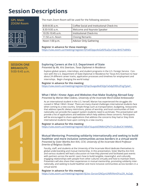# **Session Descriptions**



**GPL Main** 

The main Zoom Room will be used for the following sessions:

| $8:00-8:30$ a.m. | Coffee Social and Institutional Check-Ins |
|------------------|-------------------------------------------|
| 8:30-9:00 a.m.   | Welcome and Keynote Speaker               |
| 10:35-10:45 a.m. | Institutional Check-Ins                   |
| 11:50 a.m.-Noon  | <b>Closing Remarks</b>                    |
| Noon-1:00 p.m.   | Advisor Only Gathering                    |

# **Register in advance for these meetings:**

https://uiw.zoom.us/meeting/register/tJYodOippz4sGdSFEaZJuY2da-BHS7Is8NEv

**SESSION ONE BREAKOUTS** 9:00-9:45 a.m.

# **Exploring Careers at the U.S. Department of State**

*Presented by Ms. Kris Sivertson, Texas Diplomat in Residence*

Explore global careers, internships, and student programs in the U.S. Foreign Service. Connect with the U.S. Department of State Diplomat in Residence for Texas Kris Sivertson to hear about 24 different career tracks, application processes and timelines for employment and internships. Begin changing the world today!

**Register in advance for this meeting:**  https://uiw.zoom.us/meeting/register/tJYqcOuqpz8oE92JpTa5dyD9DLZFzgTJylaY

# **What I Wish I Knew: Apps and Websites that Make Studying Abroad Easy** *Presented by Marian Mae Cedeno, University of the Incarnate Word Global Ambassador*

As an international student in the U.S. herself, Marian has experienced the struggles discussed in 'What I Wish I Knew'. There are many shared challenges international students face when coming to a new country. Simple things such as transportation, budgeting, restaurants that address specific dietary restrictions, places of worship, and local communities of their nationality can provide the support system students need to acclimate. This presentation will provide a list of applications and websites which help address these concerns. Participants will be encouraged to share applications that address the concerns they had or they think international students have upon coming to a new country.

# **Register in advance for this meeting:**  https://uiw.zoom.us/meeting/register/tJEof-6upzkiE9MkhQPkiTrUZcBoICK1WMNS

**Mutual Mentoring: Promoting solidarity internationally and seeking to build healthier and more inclusive communities across borders in a virtual world**  *Presented by Sister Martha Ann Kirk, CCVI, University of the Incarnate Word Professor Emerita of Religious Studies*

Faculty, staff, and students at the University of the Incarnate Word dedicate themselves to global understanding and mutual mentorship. In this presentation, Sister Martha Ann Kirk and various students will lead a discussion on how they planned and facilitated past events with partners across the world. Learn how to build tangible, meaningful, and culturally engaging relationships with people from other cultures virtually and how to maintain them. Presenters will also share their experiences in mutual mentorship, promoting solidarity internationally, and seeking to build healthier and more inclusive communities across borders in a virtual world.

**Register in advance for this meeting:**  https://uiw.zoom.us/meeting/register/tJUoc-GvrzsrGNGynUNRVNm0YuL0V\_As2aJr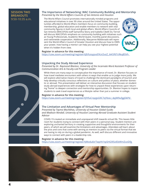# **SESSION TWO BREAKOUTS** 9:50-10:35 a.m.

# **The Importance of Networking: WAC Community Building and Mentorship**  *Presented by the World Affairs Councils of San Antonio and Houston*

The World Affairs Council promotes internationally minded programs and educational initiatives in over 90 cities around the United States. The opportunities afforded to World Affairs members focus on community building, membership, global education and enable members to network with vital community figures in both local and global affairs. World Affairs Councils of San Antonio (WACOFSA) staff Samantha Skory and Isabella Cibelli Du Terroil will discuss WACOFSA's emphasis on community building with initiatives such as Young Professionals, Academic World Quest, monthly panel discussions, and nationwide cooperation. Additionally, Maryanne Maldonado will represent the World Affairs Council of Greater Houston and discuss how to OWN your power, how having a mentor can help you see your highest potential when it's hidden from view.



## **Register in advance for this meeting:**

https://uiw.zoom.us/meeting/register/tJEtfuispjosE9UcDutZ\_tkK5f6TcRkqB5Vh

# **Unpacking the Study Abroad Experience**

*Presented by Dr. Raymond Blanton, University of the Incarnate Word Assistant Professor of Communication Arts & Faculty-Led Program Leader*

While there are many ways to conceptualize the importance of travel, Dr. Blanton focuses on how travel mediates encounters with others in ways that enable us to judge more justly. We will explore alternative means of travel to challenge the dominant paradigms of tourism and help develop critically conscious reflections on culture and politics of place, whether domestic or abroad. This presentation will deliver an interactive discussion that focuses on student study abroad experiences with strategies for how to unpack these experiences upon returning "home" to deepen connection and mentorship opportunities. Dr. Blanton hopes to inspire students to seek travel experiences as a lifestyle rather than just a summer in college.

### **Register in advance for this meeting:**

https://uiw.zoom.us/meeting/register/tJYtfuCrqzgsG9C7qYbsLI\_4pjW9ufggDkPd

# **The Limitation and Advantages of Virtual Peer Mentorship**

*Presented by Tayma Machkhas, University of Houston Global Guide; and Madison Rendall, University of Houston Learning Abroad Graduate Assistant Student Advisor*

COVID-19 created an immediate and unprepared shift towards virtual life. This leaves little room for students trying to connect with their peers in a personal way. Student mentors are exploring uncharted territory in creating supportive and thoughtful environments for their peers, of which we will examine the limitations and advantages. Attendees will learn about the pros and cons that come with serving as mentors to peers via the virtual format that we are having to rely on during a global pandemic. As well, we'll discuss different and innovative ways to connect with peers in a leadership role.

#### **Register in advance for this meeting:**  https://uiw.zoom.us/meeting/register/tJMvdu6trTwpHt1tpSHG9lSxlEbWmZvziDfg

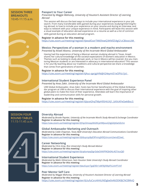# **SESSION THREE BREAKOUTS** 10:45-11:15 a.m.

# **Passport to Your Career**

*Presented by Maggie Mahoney, University of Houston's Assistant Director of Learning Abroad*

This session will discuss the best ways to include your international experience in your job search. From many transferable skills gained during your experiences studying/interning/living abroad, to how to include your experience on your resume and during an interview, and ways to network with your unique experience in mind. Participants will leave this session with a visual example of education abroad experience on a resume as well as a list of common skills gained during an education abroad program.

### **Register in advance for this meeting:**

https://uiw.zoom.us/meeting/register/tJwsdOutrTMiE9xwQ3KNfZS4gG1zCBixocUM

#### **Mexico: Perspectives of a woman in a modern and macho environment**  *Presented by Anaeli Alvarez, University of the Incarnate Word Global Ambassador*

Having had the experience of being a Mexican woman studying abroad in Texas, Anaeli shares her cultural knowledge of the societal expectations of women's education in Mexico. Themes such as looking to study abroad, work, or live in Mexico will be covered. Are you mentoring Mexican students or are interested in advocacy in international education? This session is for you! By teaching about our traditions and cultural perspective we share a knowledge that comes from generations of women.

# **Register in advance for this meeting:**

https://uiw.zoom.us/meeting/register/tJAuc-qprjgiHNdJH24eymi51eOPiIz1jicI

# **International Student Experience Panel**

*Presented by Anas Zakir, University of the Incarnate Word Global Ambassador*

UIW Global Ambassador, Anas Zakir, hosts two former beneficiaries of the Global Ambassador program at UIW to discuss their international experience with the goal of inspiring other global peers to make the most of their experience. Attendees will learn the importance of leadership and communication skills for personal growth.

#### **Register in advance for this meeting:**

https://uiw.zoom.us/meeting/register/tJIpceGhqTMpH9SHtUVj1\_bXXcKFeGwkBoc3

# **SESSION FOUR ROUND TABLES** 11:15-11:45 a.m.

# **Diversity Abroad**

*Moderated by Brooke Paynter, University of the Incarnate Word's Study Abroad & Exchange Coordinator* **Register in advance for this meeting:**  https://uiw.zoom.us/meeting/register/tJYqcOmoqz0tG9CpHWJxxvQ3gGDjIGe5ZLhn

# **Global Ambassador Marketing and Outreach**

*Moderated by Caleb Chapman, Texas A&M University's Education Abroad Communications Coordinator* **Register in advance for this meeting:**  https://uiw.zoom.us/meeting/register/tJIlduyrqz8pE9PmirgN9QUncom2wndZ2wd\_

#### **Career Networking**

*Moderated by Chris Gray, Rice University's Study Abroad Advisor* **Register in advance for this meeting:**  https://uiw.zoom.us/meeting/register/tJcqdumpqDgrGdaOiXKPf4Qk0AL4GTstuQJ0

## **International Student Experience**

*Moderated by Malin Hilmersson, Sam Houston State University's Study Abroad Coordinator* **Register in advance for this meeting:** 

https://uiw.zoom.us/meeting/register/tJwufuyorTgqE90r1d4F8jXWpFfc2vhPTchF

### **Peer Mentor Self Care**

*Moderated by Maggie Mahoney, University of Houston's Assistant Director of Learning Abroad* **Register in advance for this meeting:**  https://uiw.zoom.us/meeting/register/tJUufuCsrz4iHtUNDgbe0vKkDDK8JCNCBWvQ